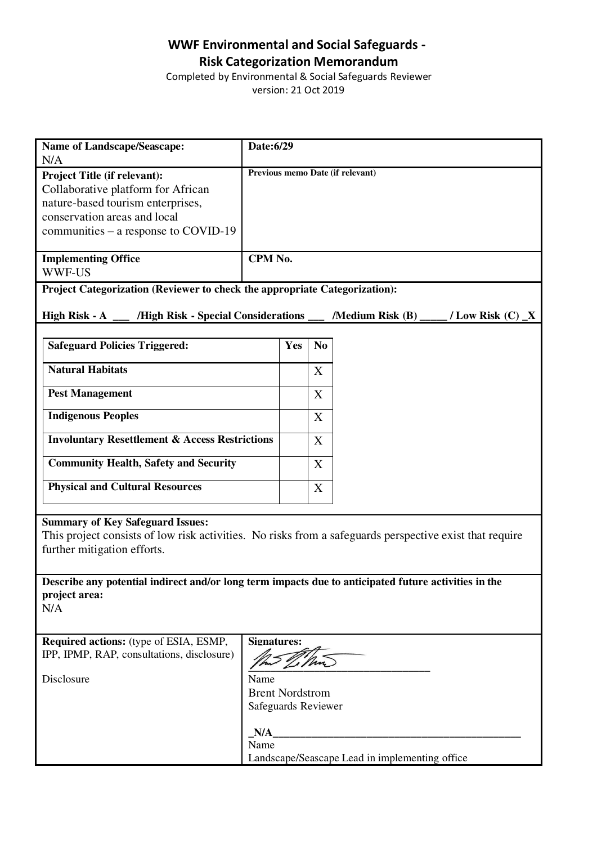## **WWF Environmental and Social Safeguards - Risk Categorization Memorandum**

Completed by Environmental & Social Safeguards Reviewer version: 21 Oct 2019

| <b>Name of Landscape/Seascape:</b><br>N/A                                                                                                                                         | Date:6/29                                     |                                  |                |  |
|-----------------------------------------------------------------------------------------------------------------------------------------------------------------------------------|-----------------------------------------------|----------------------------------|----------------|--|
| Project Title (if relevant):<br>Collaborative platform for African<br>nature-based tourism enterprises,<br>conservation areas and local<br>communities – a response to COVID-19   |                                               | Previous memo Date (if relevant) |                |  |
| <b>Implementing Office</b><br><b>WWF-US</b>                                                                                                                                       | CPM No.                                       |                                  |                |  |
| Project Categorization (Reviewer to check the appropriate Categorization):                                                                                                        |                                               |                                  |                |  |
| /High Risk - Special Considerations<br>/Medium Risk $(B)$<br>High Risk - A<br>/ Low Risk $(C)$ $\_\ X$                                                                            |                                               |                                  |                |  |
| <b>Safeguard Policies Triggered:</b>                                                                                                                                              |                                               | Yes                              | N <sub>0</sub> |  |
| <b>Natural Habitats</b>                                                                                                                                                           |                                               |                                  | X              |  |
| <b>Pest Management</b>                                                                                                                                                            |                                               |                                  | X              |  |
| <b>Indigenous Peoples</b>                                                                                                                                                         |                                               |                                  | X              |  |
| <b>Involuntary Resettlement &amp; Access Restrictions</b>                                                                                                                         |                                               |                                  | X              |  |
| <b>Community Health, Safety and Security</b>                                                                                                                                      |                                               |                                  | X              |  |
| <b>Physical and Cultural Resources</b>                                                                                                                                            |                                               |                                  | X              |  |
| <b>Summary of Key Safeguard Issues:</b><br>This project consists of low risk activities. No risks from a safeguards perspective exist that require<br>further mitigation efforts. |                                               |                                  |                |  |
| Describe any potential indirect and/or long term impacts due to anticipated future activities in the                                                                              |                                               |                                  |                |  |
| project area:<br>N/A                                                                                                                                                              |                                               |                                  |                |  |
| <b>Required actions:</b> (type of ESIA, ESMP,<br><b>Signatures:</b>                                                                                                               |                                               |                                  |                |  |
| IPP, IPMP, RAP, consultations, disclosure)                                                                                                                                        |                                               |                                  |                |  |
| Disclosure                                                                                                                                                                        | Name                                          |                                  |                |  |
|                                                                                                                                                                                   | <b>Brent Nordstrom</b><br>Safeguards Reviewer |                                  |                |  |
|                                                                                                                                                                                   | N/A                                           |                                  |                |  |
|                                                                                                                                                                                   | Name                                          |                                  |                |  |
| Landscape/Seascape Lead in implementing office                                                                                                                                    |                                               |                                  |                |  |